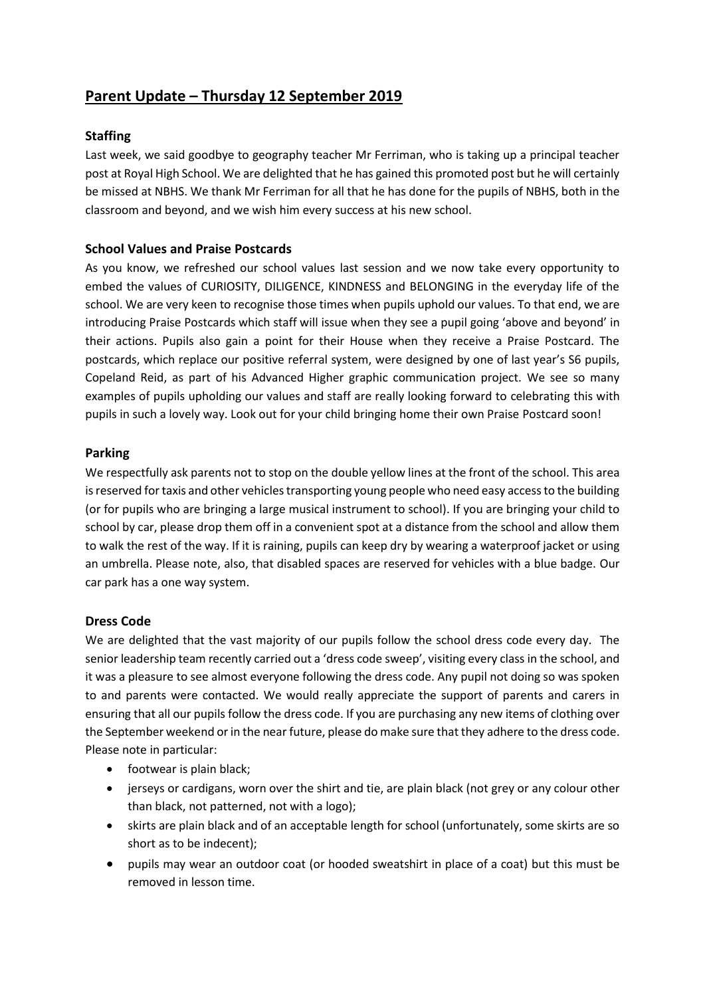# **Parent Update – Thursday 12 September 2019**

## **Staffing**

Last week, we said goodbye to geography teacher Mr Ferriman, who is taking up a principal teacher post at Royal High School. We are delighted that he has gained this promoted post but he will certainly be missed at NBHS. We thank Mr Ferriman for all that he has done for the pupils of NBHS, both in the classroom and beyond, and we wish him every success at his new school.

## **School Values and Praise Postcards**

As you know, we refreshed our school values last session and we now take every opportunity to embed the values of CURIOSITY, DILIGENCE, KINDNESS and BELONGING in the everyday life of the school. We are very keen to recognise those times when pupils uphold our values. To that end, we are introducing Praise Postcards which staff will issue when they see a pupil going 'above and beyond' in their actions. Pupils also gain a point for their House when they receive a Praise Postcard. The postcards, which replace our positive referral system, were designed by one of last year's S6 pupils, Copeland Reid, as part of his Advanced Higher graphic communication project. We see so many examples of pupils upholding our values and staff are really looking forward to celebrating this with pupils in such a lovely way. Look out for your child bringing home their own Praise Postcard soon!

## **Parking**

We respectfully ask parents not to stop on the double yellow lines at the front of the school. This area is reserved for taxis and other vehicles transporting young people who need easy access to the building (or for pupils who are bringing a large musical instrument to school). If you are bringing your child to school by car, please drop them off in a convenient spot at a distance from the school and allow them to walk the rest of the way. If it is raining, pupils can keep dry by wearing a waterproof jacket or using an umbrella. Please note, also, that disabled spaces are reserved for vehicles with a blue badge. Our car park has a one way system.

## **Dress Code**

We are delighted that the vast majority of our pupils follow the school dress code every day. The senior leadership team recently carried out a 'dress code sweep', visiting every class in the school, and it was a pleasure to see almost everyone following the dress code. Any pupil not doing so was spoken to and parents were contacted. We would really appreciate the support of parents and carers in ensuring that all our pupils follow the dress code. If you are purchasing any new items of clothing over the September weekend or in the near future, please do make sure that they adhere to the dress code. Please note in particular:

- footwear is plain black;
- jerseys or cardigans, worn over the shirt and tie, are plain black (not grey or any colour other than black, not patterned, not with a logo);
- skirts are plain black and of an acceptable length for school (unfortunately, some skirts are so short as to be indecent);
- pupils may wear an outdoor coat (or hooded sweatshirt in place of a coat) but this must be removed in lesson time.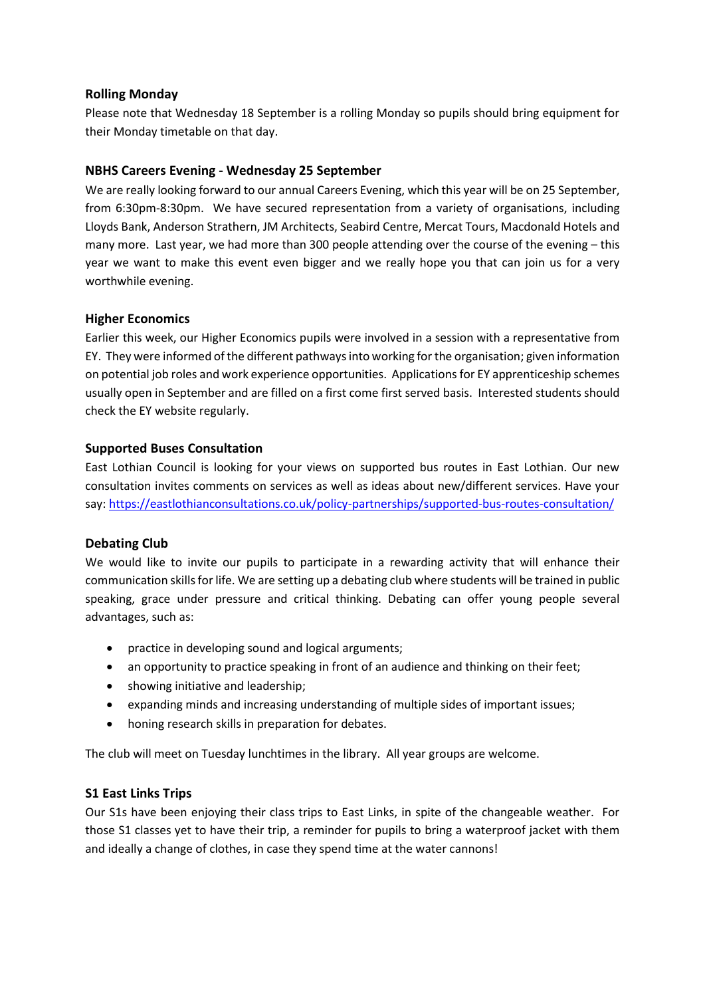## **Rolling Monday**

Please note that Wednesday 18 September is a rolling Monday so pupils should bring equipment for their Monday timetable on that day.

## **NBHS Careers Evening - Wednesday 25 September**

We are really looking forward to our annual Careers Evening, which this year will be on 25 September, from 6:30pm-8:30pm. We have secured representation from a variety of organisations, including Lloyds Bank, Anderson Strathern, JM Architects, Seabird Centre, Mercat Tours, Macdonald Hotels and many more. Last year, we had more than 300 people attending over the course of the evening – this year we want to make this event even bigger and we really hope you that can join us for a very worthwhile evening.

## **Higher Economics**

Earlier this week, our Higher Economics pupils were involved in a session with a representative from EY. They were informed of the different pathways into working for the organisation; given information on potential job roles and work experience opportunities. Applications for EY apprenticeship schemes usually open in September and are filled on a first come first served basis. Interested students should check the EY website regularly.

## **Supported Buses Consultation**

East Lothian Council is looking for your views on supported bus routes in East Lothian. Our new consultation invites comments on services as well as ideas about new/different services. Have your say: <https://eastlothianconsultations.co.uk/policy-partnerships/supported-bus-routes-consultation/>

# **Debating Club**

We would like to invite our pupils to participate in a rewarding activity that will enhance their communication skills for life. We are setting up a debating club where students will be trained in public speaking, grace under pressure and critical thinking. Debating can offer young people several advantages, such as:

- practice in developing sound and logical arguments;
- an opportunity to practice speaking in front of an audience and thinking on their feet;
- showing initiative and leadership;
- expanding minds and increasing understanding of multiple sides of important issues;
- honing research skills in preparation for debates.

The club will meet on Tuesday lunchtimes in the library. All year groups are welcome.

# **S1 East Links Trips**

Our S1s have been enjoying their class trips to East Links, in spite of the changeable weather. For those S1 classes yet to have their trip, a reminder for pupils to bring a waterproof jacket with them and ideally a change of clothes, in case they spend time at the water cannons!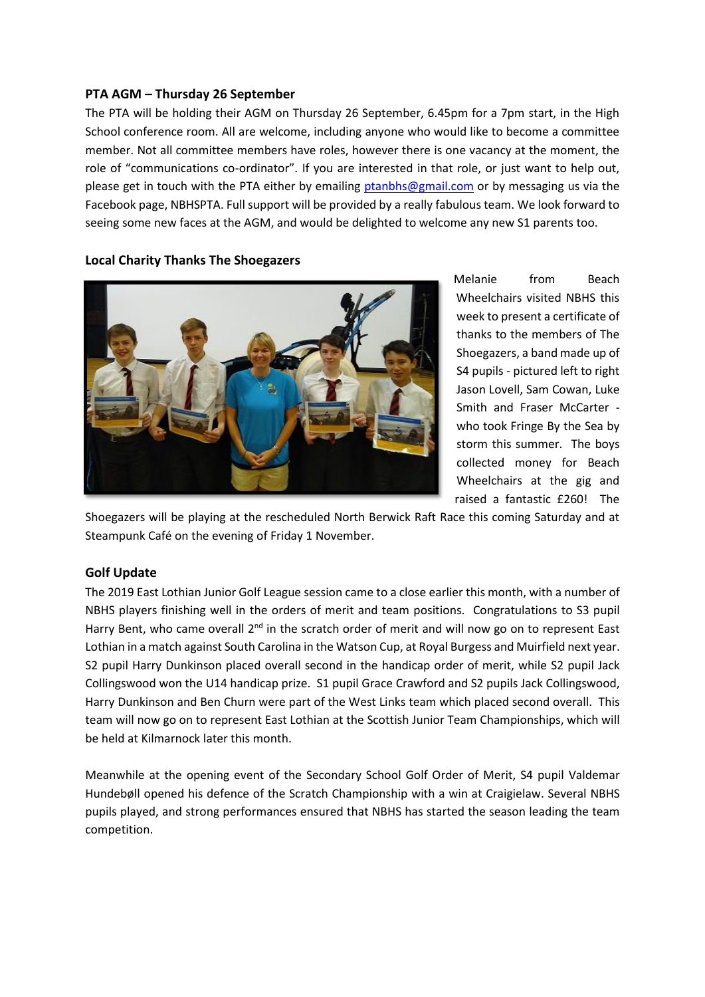## **PTA AGM – Thursday 26 September**

The PTA will be holding their AGM on Thursday 26 September, 6.45pm for a 7pm start, in the High School conference room. All are welcome, including anyone who would like to become a committee member. Not all committee members have roles, however there is one vacancy at the moment, the role of "communications co-ordinator". If you are interested in that role, or just want to help out, please get in touch with the PTA either by emailing [ptanbhs@gmail.com](mailto:ptanbhs@gmail.com) or by messaging us via the Facebook page, NBHSPTA. Full support will be provided by a really fabulous team. We look forward to seeing some new faces at the AGM, and would be delighted to welcome any new S1 parents too.



**Local Charity Thanks The Shoegazers**

Melanie from Beach Wheelchairs visited NBHS this week to present a certificate of thanks to the members of The Shoegazers, a band made up of S4 pupils - pictured left to right Jason Lovell, Sam Cowan, Luke Smith and Fraser McCarter who took Fringe By the Sea by storm this summer. The boys collected money for Beach Wheelchairs at the gig and raised a fantastic £260! The

Shoegazers will be playing at the rescheduled North Berwick Raft Race this coming Saturday and at Steampunk Café on the evening of Friday 1 November.

## **Golf Update**

The 2019 East Lothian Junior Golf League session came to a close earlier this month, with a number of NBHS players finishing well in the orders of merit and team positions. Congratulations to S3 pupil Harry Bent, who came overall 2<sup>nd</sup> in the scratch order of merit and will now go on to represent East Lothian in a match against South Carolina in the Watson Cup, at Royal Burgess and Muirfield next year. S2 pupil Harry Dunkinson placed overall second in the handicap order of merit, while S2 pupil Jack Collingswood won the U14 handicap prize. S1 pupil Grace Crawford and S2 pupils Jack Collingswood, Harry Dunkinson and Ben Churn were part of the West Links team which placed second overall. This team will now go on to represent East Lothian at the Scottish Junior Team Championships, which will be held at Kilmarnock later this month.

Meanwhile at the opening event of the Secondary School Golf Order of Merit, S4 pupil Valdemar Hundebøll opened his defence of the Scratch Championship with a win at Craigielaw. Several NBHS pupils played, and strong performances ensured that NBHS has started the season leading the team competition.